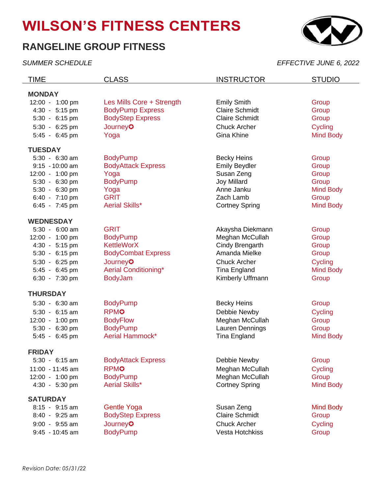# **WILSON'S FITNESS CENTERS**

## **RANGELINE GROUP FITNESS**



*SUMMER SCHEDULE EFFECTIVE JUNE 6, 2022*

| TIME              | <b>CLASS</b>                | <b>INSTRUCTOR</b>     | <b>STUDIO</b>    |
|-------------------|-----------------------------|-----------------------|------------------|
| <b>MONDAY</b>     |                             |                       |                  |
| 12:00 - 1:00 pm   | Les Mills Core + Strength   | <b>Emily Smith</b>    | Group            |
| 4:30 - 5:15 pm    | <b>BodyPump Express</b>     | <b>Claire Schmidt</b> | Group            |
| 5:30 - 6:15 pm    | <b>BodyStep Express</b>     | <b>Claire Schmidt</b> | Group            |
| 5:30 - 6:25 pm    | <b>Journey<sup>3</sup></b>  | <b>Chuck Archer</b>   | Cycling          |
| 5:45 - 6:45 pm    | Yoga                        | Gina Khine            | <b>Mind Body</b> |
| <b>TUESDAY</b>    |                             |                       |                  |
| 5:30 - 6:30 am    | <b>BodyPump</b>             | <b>Becky Heins</b>    | Group            |
| $9:15 - 10:00$ am | <b>BodyAttack Express</b>   | <b>Emily Beydler</b>  | Group            |
| 12:00 - 1:00 pm   | Yoga                        | Susan Zeng            | Group            |
| 5:30 - 6:30 pm    | <b>BodyPump</b>             | Joy Millard           | Group            |
| 5:30 - 6:30 pm    | Yoga                        | Anne Janku            | <b>Mind Body</b> |
| 6:40 - 7:10 pm    | <b>GRIT</b>                 | Zach Lamb             | Group            |
| 6:45 - 7:45 pm    | <b>Aerial Skills*</b>       | <b>Cortney Spring</b> | <b>Mind Body</b> |
| <b>WEDNESDAY</b>  |                             |                       |                  |
| 5:30 - 6:00 am    | <b>GRIT</b>                 | Akaysha Diekmann      | Group            |
| 12:00 - 1:00 pm   | <b>BodyPump</b>             | Meghan McCullah       | Group            |
| 4:30 - 5:15 pm    | <b>KettleWorX</b>           | Cindy Brengarth       | Group            |
| 5:30 - 6:15 pm    | <b>BodyCombat Express</b>   | Amanda Mielke         | Group            |
| 5:30 - 6:25 pm    | <b>Journey<sup>3</sup></b>  | <b>Chuck Archer</b>   | Cycling          |
| 5:45 - 6:45 pm    | <b>Aerial Conditioning*</b> | Tina England          | <b>Mind Body</b> |
| 6:30 - 7:30 pm    | <b>BodyJam</b>              | Kimberly Uffmann      | Group            |
| <b>THURSDAY</b>   |                             |                       |                  |
| 5:30 - 6:30 am    | <b>BodyPump</b>             | <b>Becky Heins</b>    | Group            |
| $5:30 - 6:15$ am  | <b>RPMO</b>                 | Debbie Newby          | Cycling          |
| 12:00 - 1:00 pm   | <b>BodyFlow</b>             | Meghan McCullah       | Group            |
| 5:30 - 6:30 pm    | <b>BodyPump</b>             | Lauren Dennings       | Group            |
| 5:45 - 6:45 pm    | Aerial Hammock*             | <b>Tina England</b>   | <b>Mind Body</b> |
| <b>FRIDAY</b>     |                             |                       |                  |
| 5:30 - 6:15 am    | <b>BodyAttack Express</b>   | Debbie Newby          | Group            |
| 11:00 - 11:45 am  | <b>RPMO</b>                 | Meghan McCullah       | Cycling          |
| 12:00 - 1:00 pm   | <b>BodyPump</b>             | Meghan McCullah       | Group            |
| 4:30 - 5:30 pm    | <b>Aerial Skills*</b>       | <b>Cortney Spring</b> | <b>Mind Body</b> |
| <b>SATURDAY</b>   |                             |                       |                  |
| 8:15 - 9:15 am    | <b>Gentle Yoga</b>          | Susan Zeng            | <b>Mind Body</b> |
| 8:40 - 9:25 am    | <b>BodyStep Express</b>     | <b>Claire Schmidt</b> | Group            |
| $9:00 - 9:55$ am  | <b>Journey<sup>3</sup></b>  | <b>Chuck Archer</b>   | Cycling          |
| $9:45 - 10:45$ am | <b>BodyPump</b>             | Vesta Hotchkiss       | Group            |
|                   |                             |                       |                  |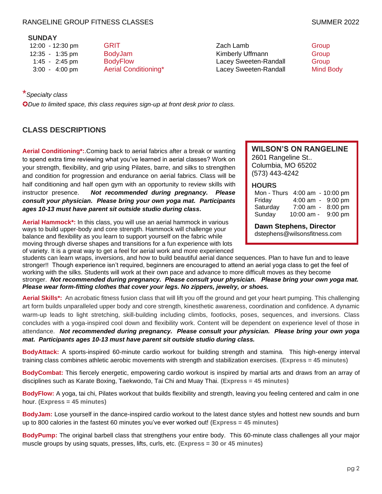### RANGELINE GROUP FITNESS CLASSES SUMMER 2022

#### **SUNDAY**

12:00 - 12:30 pm GRIT GRIT CHARGE CALLAMB 12:35 - 1:35 pm BodyJam **BodySam Croup** Kimberly Uffmann Group 1:45 - 2:45 pm BodyFlow Lacey Sweeten-Randall Group 3:00 - 4:00 pm Aerial Conditioning\* Lacey Sweeten-Randall Mind Body

## \**Specialty class*

✪*Due to limited space, this class requires sign-up at front desk prior to class.*

## **CLASS DESCRIPTIONS**

**Aerial Conditioning\*:**.Coming back to aerial fabrics after a break or wanting to spend extra time reviewing what you've learned in aerial classes? Work on your strength, flexibility, and grip using Pilates, barre, and silks to strengthen and condition for progression and endurance on aerial fabrics. Class will be half conditioning and half open gym with an opportunity to review skills with instructor presence. *Not recommended during pregnancy. Please consult your physician. Please bring your own yoga mat. Participants ages 10-13 must have parent sit outside studio during class.*

**Aerial Hammock\*:** In this class, you will use an aerial hammock in various ways to build upper-body and core strength. Hammock will challenge your balance and flexibility as you learn to support yourself on the fabric while moving through diverse shapes and transitions for a fun experience with lots of variety. It is a great way to get a feel for aerial work and more experienced **WILSON'S ON RANGELINE** 2601 Rangeline St.. Columbia, MO 65202 (573) 443-4242

#### **HOURS**

| Mon - Thurs 4:00 am - 10:00 pm |                   |           |
|--------------------------------|-------------------|-----------|
| Friday                         | 4:00 am - 9:00 pm |           |
| Saturday                       | $7:00$ am -       | 8:00 pm   |
| Sunday                         | 10:00 am -        | $9:00$ pm |

**Dawn Stephens, Director** dstephens@wilsonsfitness.com

students can learn wraps, inversions, and how to build beautiful aerial dance sequences. Plan to have fun and to leave stronger!! Though experience isn't required, beginners are encouraged to attend an aerial yoga class to get the feel of working with the silks. Students will work at their own pace and advance to more difficult moves as they become stronger. *Not recommended during pregnancy. Please consult your physician. Please bring your own yoga mat. Please wear form-fitting clothes that cover your legs. No zippers, jewelry, or shoes.*

**Aerial Skills\*:** An acrobatic fitness fusion class that will lift you off the ground and get your heart pumping. This challenging art form builds unparalleled upper body and core strength, kinesthetic awareness, coordination and confidence. A dynamic warm-up leads to light stretching, skill-building including climbs, footlocks, poses, sequences, and inversions. Class concludes with a yoga-inspired cool down and flexibility work. Content will be dependent on experience level of those in attendance. *Not recommended during pregnancy. Please consult your physician. Please bring your own yoga mat. Participants ages 10-13 must have parent sit outside studio during class.*

**BodyAttack:** A sports-inspired 60-minute cardio workout for building strength and stamina. This high-energy interval training class combines athletic aerobic movements with strength and stabilization exercises. **(Express = 45 minutes)**

**BodyCombat:** This fiercely energetic, empowering cardio workout is inspired by martial arts and draws from an array of disciplines such as Karate Boxing, Taekwondo, Tai Chi and Muay Thai. **(Express = 45 minutes)**

**BodyFlow:** A yoga, tai chi, Pilates workout that builds flexibility and strength, leaving you feeling centered and calm in one hour. **(Express = 45 minutes)**

**BodyJam:** Lose yourself in the dance-inspired cardio workout to the latest dance styles and hottest new sounds and burn up to 800 calories in the fastest 60 minutes you've ever worked out! **(Express = 45 minutes)**

**BodyPump:** The original barbell class that strengthens your entire body. This 60-minute class challenges all your major muscle groups by using squats, presses, lifts, curls, etc. **(Express = 30 or 45 minutes)**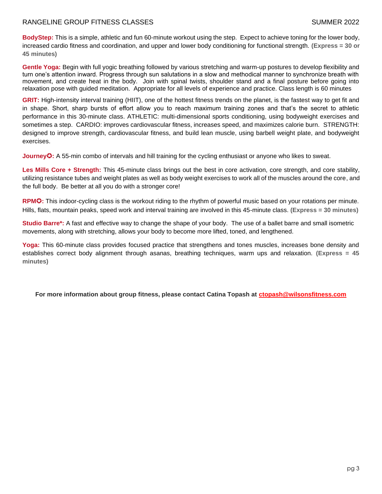**BodyStep:** This is a simple, athletic and fun 60-minute workout using the step. Expect to achieve toning for the lower body, increased cardio fitness and coordination, and upper and lower body conditioning for functional strength. **(Express = 30 or 45 minutes)**

**Gentle Yoga:** Begin with full yogic breathing followed by various stretching and warm-up postures to develop flexibility and turn one's attention inward. Progress through sun salutations in a slow and methodical manner to synchronize breath with movement, and create heat in the body. Join with spinal twists, shoulder stand and a final posture before going into relaxation pose with guided meditation. Appropriate for all levels of experience and practice. Class length is 60 minutes

**GRIT:** High-intensity interval training (HIIT), one of the hottest fitness trends on the planet, is the fastest way to get fit and in shape. Short, sharp bursts of effort allow you to reach maximum training zones and that's the secret to athletic performance in this 30-minute class. ATHLETIC: multi-dimensional sports conditioning, using bodyweight exercises and sometimes a step. CARDIO: improves cardiovascular fitness, increases speed, and maximizes calorie burn. STRENGTH: designed to improve strength, cardiovascular fitness, and build lean muscle, using barbell weight plate, and bodyweight exercises.

**Journey**✪**:** A 55-min combo of intervals and hill training for the cycling enthusiast or anyone who likes to sweat.

**Les Mills Core + Strength:** This 45-minute class brings out the best in core activation, core strength, and core stability, utilizing resistance tubes and weight plates as well as body weight exercises to work all of the muscles around the core, and the full body. Be better at all you do with a stronger core!

**RPM**✪**:** This indoor-cycling class is the workout riding to the rhythm of powerful music based on your rotations per minute. Hills, flats, mountain peaks, speed work and interval training are involved in this 45-minute class. **(Express = 30 minutes)**

**Studio Barre\*:** A fast and effective way to change the shape of your body. The use of a ballet barre and small isometric movements, along with stretching, allows your body to become more lifted, toned, and lengthened.

**Yoga:** This 60-minute class provides focused practice that strengthens and tones muscles, increases bone density and establishes correct body alignment through asanas, breathing techniques, warm ups and relaxation. **(Express = 45 minutes)**

**For more information about group fitness, please contact Catina Topash at [ctopash@wilsonsfitness.com](mailto:ctopash@wilsonsfitness.com)**